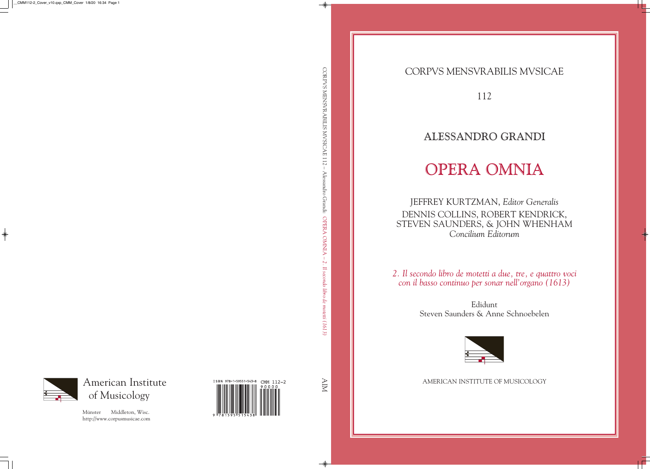CORPVS MENSVRABILIS MVSICAE

112

# ALESSANDRO GRANDI

# OPERA OMNIA

JEFFREY KURTZMAN, *Editor Generalis* DENNIS COLLINS, ROBERT KENDRICK, STEVEN SAUNDERS, & JOHN WHENHAM *Concilium Editorum* CORPVS MENSVRABILIS MVSIC<br>
112<br> **COPERA OMNIA**<br> *JEFFREY KURTZMAN, Editor General DENNIS COLLINS, ROBERT KENDE<br>
STEVEN SAUNDERS, & JOHN WHEE<br>
Conciliam Editorian<br>
2. Il secondo libro de motetti a due, tre, e que con il bas* 

*2. Il secondo libro de motetti a due, tre, e quattro voci con il basso continuo per sonar nell'organo (1613)*

> Edidunt Steven Saunders & Anne Schnoebelen

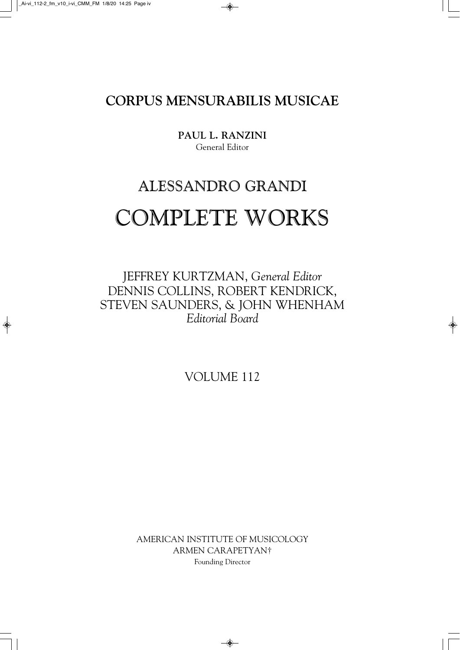**CORPUS MENSURABILIS MUSICAE**

**PAUL L. RANZINI** General Editor

# ALESSANDRO GRANDI COMPLETE WORKS

JEFFREY KURTZMAN, *General Editor* DENNIS COLLINS, ROBERT KENDRICK, STEVEN SAUNDERS, & JOHN WHENHAM *Editorial Board*

VOLUME 112

AMERICAN INSTITUTE OF MUSICOLOGY ARMEN CARAPETYAN† Founding Director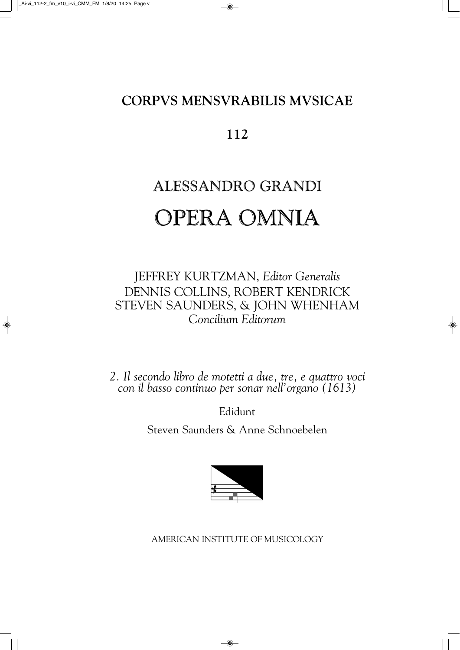## **CORPVS MENSVRABILIS MVSICAE**

## **112**

# ALESSANDRO GRANDI OPERA OMNIA

## JEFFREY KURTZMAN, *Editor Generalis* DENNIS COLLINS, ROBERT KENDRICK STEVEN SAUNDERS, & JOHN WHENHAM *Concilium Editorum*

*2. Il secondo libro de motetti a due, tre, e quattro voci con il basso continuo per sonar nell'organo (1613)*

Edidunt

Steven Saunders & Anne Schnoebelen



AMERICAN INSTITUTE OF MUSICOLOGY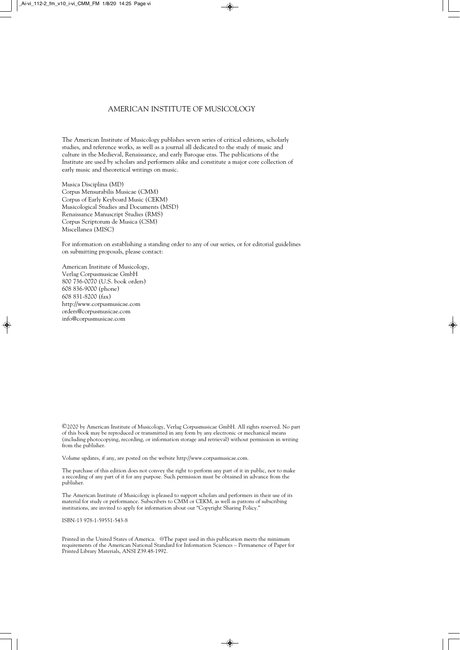#### AMERICAN INSTITUTE OF MUSICOLOGY

The American Institute of Musicology publishes seven series of critical editions, scholarly studies, and reference works, as well as a journal all dedicated to the study of music and culture in the Medieval, Renaissance, and early Baroque eras. The publications of the Institute are used by scholars and performers alike and constitute a major core collection of early music and theoretical writings on music.

Musica Disciplina (MD) Corpus Mensurabilis Musicae (CMM) Corpus of Early Keyboard Music (CEKM) Musicological Studies and Documents (MSD) Renaissance Manuscript Studies (RMS) Corpus Scriptorum de Musica (CSM) Miscellanea (MISC)

For information on establishing a standing order to any of our series, or for editorial guidelines on submitting proposals, please contact:

American Institute of Musicology, Verlag Corpusmusicae GmbH 800 736-0070 (U.S. book orders) 608 836-9000 (phone) 608 831-8200 (fax) http://www.corpusmusicae.com orders@corpusmusicae.com info@corpusmusicae.com

©2020 by American Institute of Musicology, Verlag Corpusmusicae GmbH. All rights reserved. No part of this book may be reproduced or transmitted in any form by any electronic or mechanical means (including photocopying, recording, or information storage and retrieval) without permission in writing from the publisher.

Volume updates, if any, are posted on the website http://www.corpusmusicae.com.

The purchase of this edition does not convey the right to perform any part of it in public, nor to make a recording of any part of it for any purpose. Such permission must be obtained in advance from the publisher.

The American Institute of Musicology is pleased to support scholars and performers in their use of its material for study or performance. Subscribers to CMM or CEKM, as well as patrons of subscribing institutions, are invited to apply for information about our "Copyright Sharing Policy."

ISBN-13 978-1-59551-543-8

Printed in the United States of America. @The paper used in this publication meets the minimum requirements of the American National Standard for Information Sciences – Permanence of Paper for Printed Library Materials, ANSI Z39.48-1992.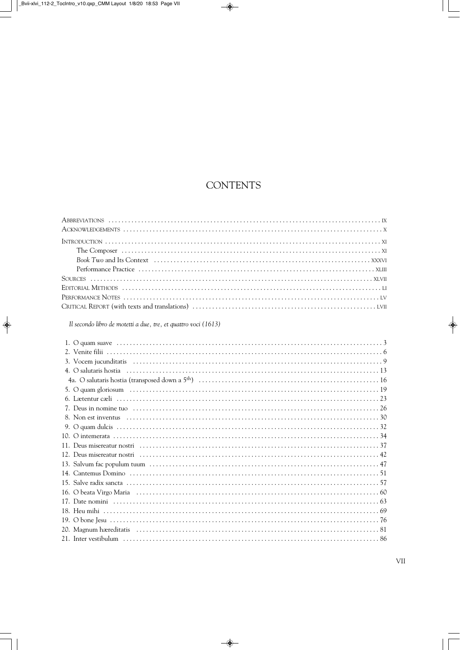## **CONTENTS**

Il secondo libro de motetti a due, tre, et quattro voci (1613)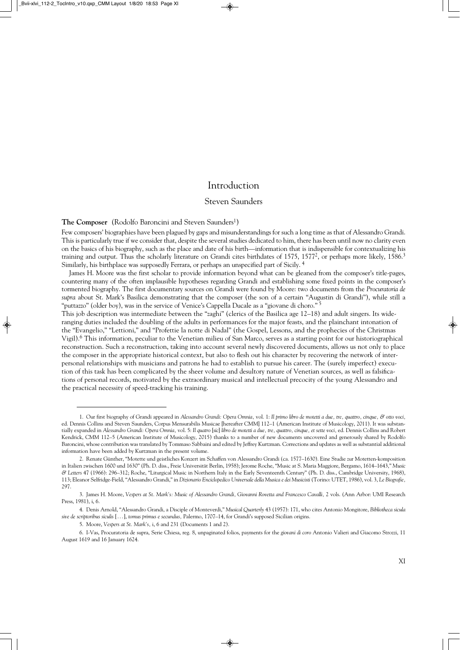### Introduction

#### Steven Saunders

**The Composer** (Rodolfo Baroncini and Steven Saunders<sup>1</sup>)

Few composers' biographies have been plagued by gaps and misunderstandings for such a long time as that of Alessandro Grandi. This is particularly true if we consider that, despite the several studies dedicated to him, there has been until now no clarity even on the basics of his biography, such as the place and date of his birth—information that is indispensible for contextualizing his training and output. Thus the scholarly literature on Grandi cites birthdates of 1575, 1577<sup>2</sup>, or perhaps more likely, 1586.<sup>3</sup> Similarly, his birthplace was supposedly Ferrara, or perhaps an unspecified part of Sicily. <sup>4</sup>

James H. Moore was the first scholar to provide information beyond what can be gleaned from the composer's title-pages, countering many of the often implausible hypotheses regarding Grandi and establishing some fixed points in the composer's tormented biography. The first documentary sources on Grandi were found by Moore: two documents from the *Procuratoria de supra* about St. Mark's Basilica demonstrating that the composer (the son of a certain "Augustin di Grandi"), while still a "puttazzo" (older boy), was in the service of Venice's Cappella Ducale as a "giovane di choro." <sup>5</sup>

This job description was intermediate between the "zaghi" (clerics of the Basilica age 12–18) and adult singers. Its wideranging duties included the doubling of the adults in performances for the major feasts, and the plainchant intonation of the "Evangelio," "Lettioni," and "Profettie la notte di Nadal" (the Gospel, Lessons, and the prophecies of the Christmas Vigil).<sup>6</sup> This information, peculiar to the Venetian milieu of San Marco, serves as a starting point for our historiographical reconstruction. Such a reconstruction, taking into account several newly discovered documents, allows us not only to place the composer in the appropriate historical context, but also to flesh out his character by recovering the network of interpersonal relationships with musicians and patrons he had to establish to pursue his career. The (surely imperfect) execution of this task has been complicated by the sheer volume and desultory nature of Venetian sources, as well as falsifications of personal records, motivated by the extraordinary musical and intellectual precocity of the young Alessandro and the practical necessity of speed-tracking his training.

 <sup>1.</sup> Our first biography of Grandi appeared in *Alessandro Grandi: Opera Omnia,* vol. 1: *Il primo libro de motetti a due, tre, quattro, cinque, & otto voci,* ed. Dennis Collins and Steven Saunders, Corpus Mensurabilis Musicae [hereafter CMM] 112–1 (American Institute of Musicology, 2011). It was substantially expanded in *Alessandro Grandi: Opera Omnia,* vol. 5: *Il quatro* [*sic*] *libro de motetti a due, tre, quattro, cinque, et sette voci,* ed. Dennis Collins and Robert Kendrick, CMM 112–5 (American Institute of Musicology, 2015) thanks to a number of new documents uncovered and generously shared by Rodolfo Baroncini, whose contribution was translated by Tommaso Sabbaini and edited by Jeffrey Kurtzman. Corrections and updates as well as substantial additional information have been added by Kurtzman in the present volume.

 <sup>2.</sup> Renate Günther, "Motette und geistliches Konzert im Schaffen von Alessandro Grandi (ca. 1577–1630). Eine Studie zur Motetten-komposition in Italien zwischen 1600 und 1630" (Ph. D. diss., Freie Universität Berlin, 1958); Jerome Roche, "Music at S. Maria Maggiore, Bergamo, 1614–1643," *Music & Letters* 47 (1966): 296–312; Roche, "Liturgical Music in Northern Italy in the Early Seventeenth Century" (Ph. D. diss., Cambridge University, 1968), 113; Eleanor Selfridge-Field, "Alessandro Grandi," in *Dizionario Enciclopedico Universale della Musica e dei Musicisti* (Torino: UTET, 1986), vol. 3, *Le Biografie,* 297.

 <sup>3.</sup> James H. Moore, *Vespers at St. Mark's: Music of Alessandro Grandi, Giovanni Rovetta and Francesco Cavalli,* 2 vols. (Ann Arbor: UMI Research Press, 1981), i, 6.

 <sup>4.</sup> Denis Arnold, "Alessandro Grandi, a Disciple of Monteverdi," *Musical Quarterly* 43 (1957): 171, who cites Antonio Mongitore, *Bibliotheca sicula sive de scriptoribus siculis* [... ], *tomus primus e secundus,* Palermo, 1707–14, for Grandi's supposed Sicilian origins.

 <sup>5.</sup> Moore, *Vespers at St. Mark's,* i, 6 and 231 (Documents 1 and 2).

 <sup>6.</sup> I-Vas, Procuratoria de supra, Serie Chiesa, reg. 8, unpaginated folios, payments for the *giovani di coro* Antonio Valieri and Giacomo Strozzi, 11 August 1619 and 16 January 1624.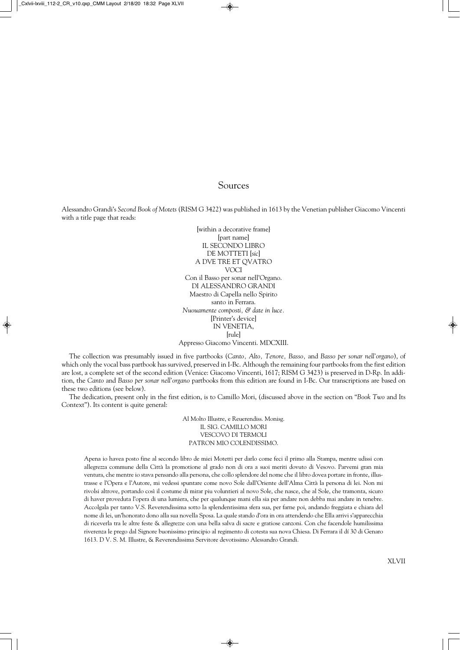#### Sources

Alessandro Grandi's *Second Book of Motets* (RISM G 3422) was published in 1613 by the Venetian publisher Giacomo Vincenti with a title page that reads:

> [within a decorative frame} [part name] IL SECONDO LIBRO DE MOTTETI [*sic*] A DVE TRE ET QVATRO VOCI Con il Basso per sonar nell'Organo. DI ALESSANDRO GRANDI Maestro di Capella nello Spirito santo in Ferrara. *Nuouamente composti, & date in luce.* [Printer's device] IN VENETIA, [rule] Appresso Giacomo Vincenti. MDCXIII.

The collection was presumably issued in five partbooks (*Canto, Alto, Tenore, Basso,* and *Basso per sonar nell'organo*), of which only the vocal bass partbook has survived, preserved in I-Bc. Although the remaining four partbooks from the first edition are lost, a complete set of the second edition (Venice: Giacomo Vincenti, 1617; RISM G 3423) is preserved in D-Rp. In addition, the *Canto* and *Basso per sonar nell'organo* partbooks from this edition are found in I-Bc. Our transcriptions are based on these two editions (see below).

The dedication, present only in the first edition, is to Camillo Mori, (discussed above in the section on "*Book Two* and Its Context"). Its content is quite general:

> Al Molto Illustre, e Reuerendiss. Monisg. IL SIG. CAMILLO MORI VESCOVO DI TERMOLI PATRON MIO COLENDISSIMO.

Apena io havea posto fine al secondo libro de miei Motetti per darlo come feci il primo alla Stampa, mentre udissi con allegrezza commune della Città la promotione al grado non di ora a suoi meriti dovuto di Vesovo. Parvemi gran mia ventura, che mentre io stava pensando alla persona, che collo splendore del nome che il libro dovea portare in fronte, illustrasse e l'Opera e l'Autore, mi vedessi spuntare come novo Sole dall'Oriente dell'Alma Città la persona di lei. Non mi rivolsi altrove, portando così il costume di mirar piu voluntieri al novo Sole, che nasce, che al Sole, che tramonta, sicuro di haver proveduta l'opera di una lumiera, che per qualunque mani ella sia per andare non debba mai andare in tenebre. Accolgala per tanto V.S. Reverendissima sotto la splendentissima sfera sua, per farne poi, andando freggiata e chiara del nome di lei, un'honorato dono alla sua novella Sposa. La quale stando d'ora in ora attendendo che Ella arrivi s'apparecchia di riceverla tra le altre feste & allegrezze con una bella salva di sacre e gratiose canzoni. Con che facendole humilissima riverenza le prego dal Signore buonissimo principio al regimento di cotesta sua nova Chiesa. Di Ferrara il dí 30 di Genaro 1613. D V. S. M. Illustre, & Reverendissima Servitore devotissimo Alessandro Grandi.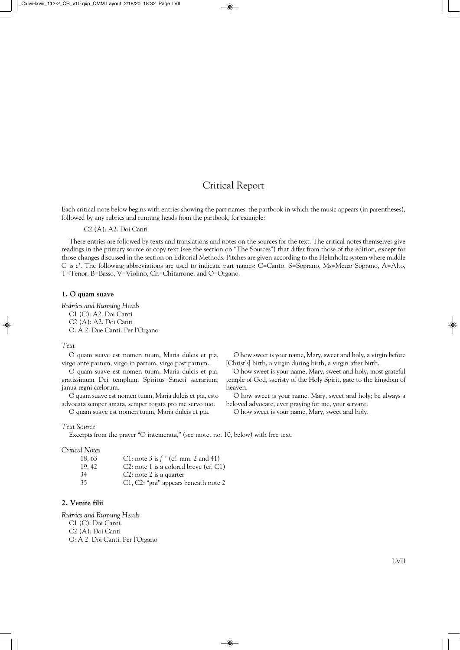## Critical Report

Each critical note below begins with entries showing the part names, the partbook in which the music appears (in parentheses), followed by any rubrics and running heads from the partbook, for example:

C2 (A): A2. Doi Canti

These entries are followed by texts and translations and notes on the sources for the text. The critical notes themselves give readings in the primary source or copy text (see the section on "The Sources") that differ from those of the edition, except for those changes discussed in the section on Editorial Methods. Pitches are given according to the Helmholtz system where middle *C* is *c'*. The following abbreviations are used to indicate part names: C=Canto, S=Soprano, Ms=Mezzo Soprano, A=Alto, T=Tenor, B=Basso, V=Violino, Ch=Chitarrone, and O=Organo.

#### **1. O quam suave**

*Rubrics and Running Heads* C1 (C): A2. Doi Canti C2 (A): A2. Doi Canti O: A 2. Due Canti. Per l'Organo

#### *Text*

O quam suave est nomen tuum, Maria dulcis et pia, virgo ante partum, virgo in partum, virgo post partum.

O quam suave est nomen tuum, Maria dulcis et pia, gratissimum Dei templum, Spiritus Sancti sacrarium, janua regni cælorum.

O quam suave est nomen tuum, Maria dulcis et pia, esto advocata semper amata, semper rogata pro me servo tuo.

O quam suave est nomen tuum, Maria dulcis et pia.

O how sweet is your name, Mary, sweet and holy, a virgin before [Christ's] birth, a virgin during birth, a virgin after birth.

O how sweet is your name, Mary, sweet and holy, most grateful temple of God, sacristy of the Holy Spirit, gate to the kingdom of heaven.

O how sweet is your name, Mary, sweet and holy; be always a beloved advocate, ever praying for me, your servant.

O how sweet is your name, Mary, sweet and holy.

#### *Text Source*

Excerpts from the prayer "O intemerata," (see motet no. 10, below) with free text.

*Critical Notes*

| 18,63  | C1: note 3 is $f'$ (cf. mm. 2 and 41)        |
|--------|----------------------------------------------|
| 19, 42 | $C2$ : note 1 is a colored breve (cf. $C1$ ) |
| 34     | $C2$ : note 2 is a quarter                   |
| 35     | C1, C2: "gni" appears beneath note 2         |

#### **2. Venite filii**

*Rubrics and Running Heads* C1 (C): Doi Canti. C2 (A): Doi Canti O: A 2. Doi Canti. Per l'Organo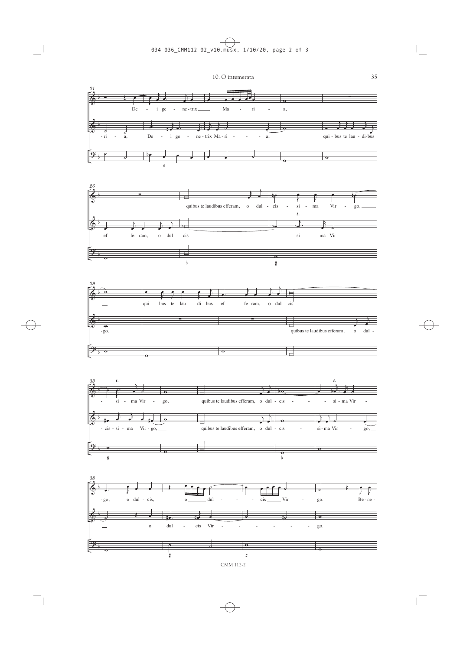









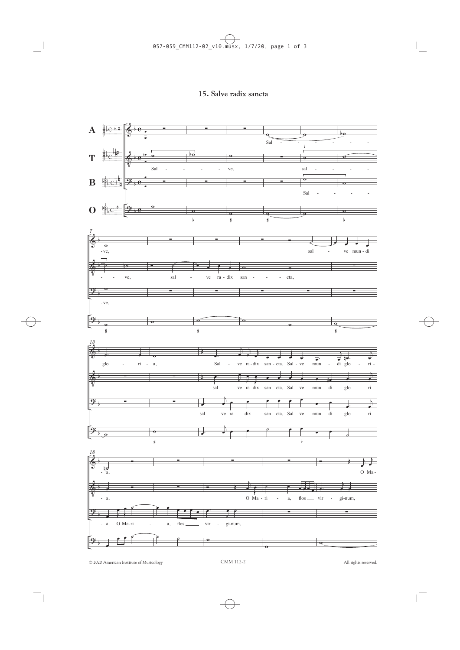### **15. Salve radix sancta**